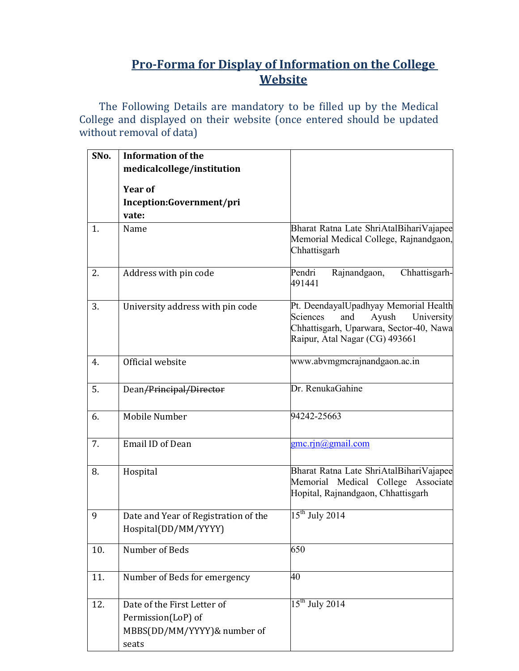## **Pro-Forma for Display of Information on the College Website**

The Following Details are mandatory to be filled up by the Medical College and displayed on their website (once entered should be updated without removal of data)

| SNo. | <b>Information of the</b>                                                                 |                                                                                                                                                              |  |
|------|-------------------------------------------------------------------------------------------|--------------------------------------------------------------------------------------------------------------------------------------------------------------|--|
|      | medicalcollege/institution                                                                |                                                                                                                                                              |  |
|      | <b>Year of</b>                                                                            |                                                                                                                                                              |  |
|      | Inception:Government/pri                                                                  |                                                                                                                                                              |  |
|      | vate:                                                                                     |                                                                                                                                                              |  |
| 1.   | Name                                                                                      | Bharat Ratna Late ShriAtalBihariVajapee                                                                                                                      |  |
|      |                                                                                           | Memorial Medical College, Rajnandgaon,<br>Chhattisgarh                                                                                                       |  |
| 2.   | Address with pin code                                                                     | Chhattisgarh-<br>Pendri<br>Rajnandgaon,<br>491441                                                                                                            |  |
| 3.   | University address with pin code                                                          | Pt. DeendayalUpadhyay Memorial Health<br>Sciences<br>University<br>and<br>Ayush<br>Chhattisgarh, Uparwara, Sector-40, Nawa<br>Raipur, Atal Nagar (CG) 493661 |  |
| 4.   | Official website                                                                          | www.abvmgmcrajnandgaon.ac.in                                                                                                                                 |  |
| 5.   | Dean/Principal/Director                                                                   | Dr. RenukaGahine                                                                                                                                             |  |
| 6.   | Mobile Number                                                                             | 94242-25663                                                                                                                                                  |  |
| 7.   | <b>Email ID of Dean</b>                                                                   | gmc.rjn@gmail.com                                                                                                                                            |  |
| 8.   | Hospital                                                                                  | Bharat Ratna Late ShriAtalBihariVajapee<br>Memorial Medical College Associate<br>Hopital, Rajnandgaon, Chhattisgarh                                          |  |
| 9    | Date and Year of Registration of the<br>Hospital(DD/MM/YYYY)                              | $15th$ July 2014                                                                                                                                             |  |
| 10.  | Number of Beds                                                                            | 650                                                                                                                                                          |  |
| 11.  | Number of Beds for emergency                                                              | 40                                                                                                                                                           |  |
| 12.  | Date of the First Letter of<br>Permission(LoP) of<br>MBBS(DD/MM/YYYY)& number of<br>seats | $15th$ July 2014                                                                                                                                             |  |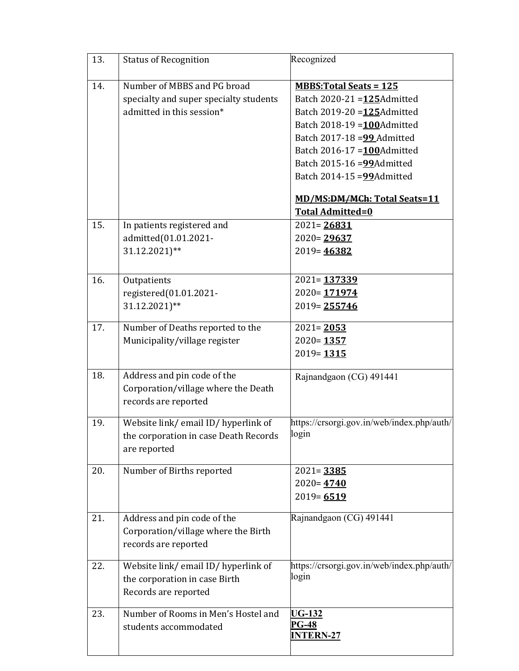| 13. | <b>Status of Recognition</b>                                                                       | Recognized                                                                                                                                                                                                                                                  |
|-----|----------------------------------------------------------------------------------------------------|-------------------------------------------------------------------------------------------------------------------------------------------------------------------------------------------------------------------------------------------------------------|
| 14. | Number of MBBS and PG broad<br>specialty and super specialty students<br>admitted in this session* | <b>MBBS: Total Seats = 125</b><br>Batch 2020-21 = 125 Admitted<br>Batch 2019-20 = 125 Admitted<br>Batch 2018-19 = 100 Admitted<br>Batch 2017-18 = 99 Admitted<br>Batch 2016-17 = 100 Admitted<br>Batch 2015-16 = 99 Admitted<br>Batch 2014-15 = 99 Admitted |
| 15. | In patients registered and<br>admitted(01.01.2021-<br>31.12.2021)**                                | MD/MS:DM/MCh: Total Seats=11<br><b>Total Admitted=0</b><br>$2021 = 26831$<br>$2020 = 29637$<br>$2019 = 46382$                                                                                                                                               |
| 16. | Outpatients<br>registered(01.01.2021-<br>31.12.2021)**                                             | $2021 = 137339$<br>$2020 = 171974$<br>$2019 = 255746$                                                                                                                                                                                                       |
| 17. | Number of Deaths reported to the<br>Municipality/village register                                  | $2021 = 2053$<br>$2020 = 1357$<br>$2019 = 1315$                                                                                                                                                                                                             |
| 18. | Address and pin code of the<br>Corporation/village where the Death<br>records are reported         | Rajnandgaon (CG) 491441                                                                                                                                                                                                                                     |
| 19. | Website link/email ID/hyperlink of<br>the corporation in case Death Records<br>are reported        | https://crsorgi.gov.in/web/index.php/auth/<br>login                                                                                                                                                                                                         |
| 20. | Number of Births reported                                                                          | $2021 = 3385$<br>$2020 = 4740$<br>$2019 = 6519$                                                                                                                                                                                                             |
| 21. | Address and pin code of the<br>Corporation/village where the Birth<br>records are reported         | Rajnandgaon (CG) 491441                                                                                                                                                                                                                                     |
| 22. | Website link/email ID/hyperlink of<br>the corporation in case Birth<br>Records are reported        | https://crsorgi.gov.in/web/index.php/auth/<br>login                                                                                                                                                                                                         |
| 23. | Number of Rooms in Men's Hostel and<br>students accommodated                                       | <b>UG-132</b><br><b>PG-48</b><br><b>INTERN-27</b>                                                                                                                                                                                                           |